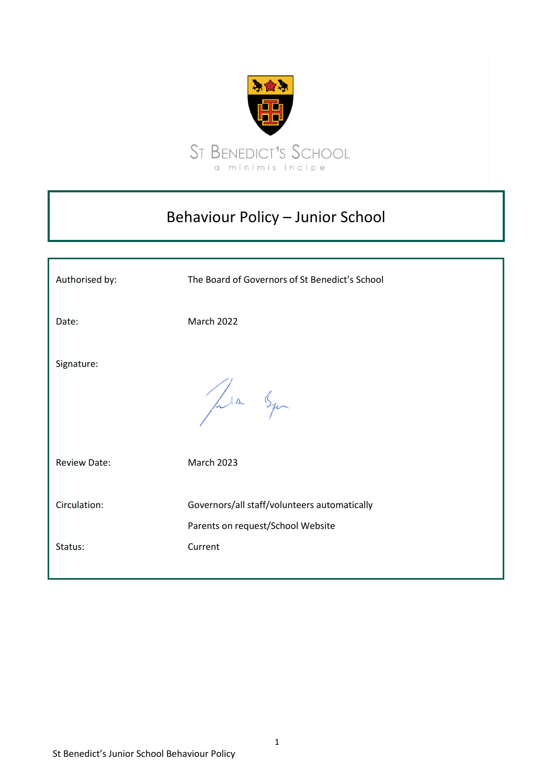

## Behaviour Policy – Junior School

| Authorised by:      | The Board of Governors of St Benedict's School                                    |
|---------------------|-----------------------------------------------------------------------------------|
| Date:               | March 2022                                                                        |
| Signature:          | Jula Squ                                                                          |
| <b>Review Date:</b> | <b>March 2023</b>                                                                 |
| Circulation:        | Governors/all staff/volunteers automatically<br>Parents on request/School Website |
| Status:             | Current                                                                           |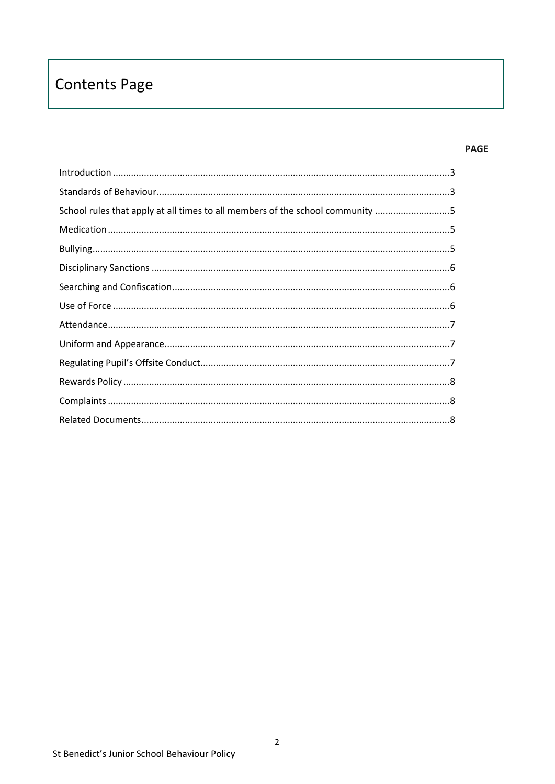# **Contents Page**

#### **PAGE**

| $\label{lem:1} \mbox{Introduction} \,\, \ldots \,\, \ldots \,\, \ldots \,\, \ldots \,\, \ldots \,\, \ldots \,\, \ldots \,\, \ldots \,\, \ldots \,\, \ldots \,\, \ldots \,\, \ldots \,\, \ldots \,\, \ldots \,\, \ldots \,\, \ldots \,\, \ldots \,\, \ldots \,\, \ldots \,\, \ldots \,\, \ldots \,\, \ldots \,\, \ldots \,\, \ldots \,\, \ldots \,\, \ldots \,\, \ldots \,\, \ldots \,\, \ldots \,\, \ldots \,\, \ldots \,\, \ldots \,\, \ldots \,\, \ldots \,\,$ |  |
|------------------------------------------------------------------------------------------------------------------------------------------------------------------------------------------------------------------------------------------------------------------------------------------------------------------------------------------------------------------------------------------------------------------------------------------------------------------|--|
|                                                                                                                                                                                                                                                                                                                                                                                                                                                                  |  |
| School rules that apply at all times to all members of the school community 5                                                                                                                                                                                                                                                                                                                                                                                    |  |
|                                                                                                                                                                                                                                                                                                                                                                                                                                                                  |  |
|                                                                                                                                                                                                                                                                                                                                                                                                                                                                  |  |
|                                                                                                                                                                                                                                                                                                                                                                                                                                                                  |  |
|                                                                                                                                                                                                                                                                                                                                                                                                                                                                  |  |
|                                                                                                                                                                                                                                                                                                                                                                                                                                                                  |  |
|                                                                                                                                                                                                                                                                                                                                                                                                                                                                  |  |
|                                                                                                                                                                                                                                                                                                                                                                                                                                                                  |  |
|                                                                                                                                                                                                                                                                                                                                                                                                                                                                  |  |
|                                                                                                                                                                                                                                                                                                                                                                                                                                                                  |  |
|                                                                                                                                                                                                                                                                                                                                                                                                                                                                  |  |
|                                                                                                                                                                                                                                                                                                                                                                                                                                                                  |  |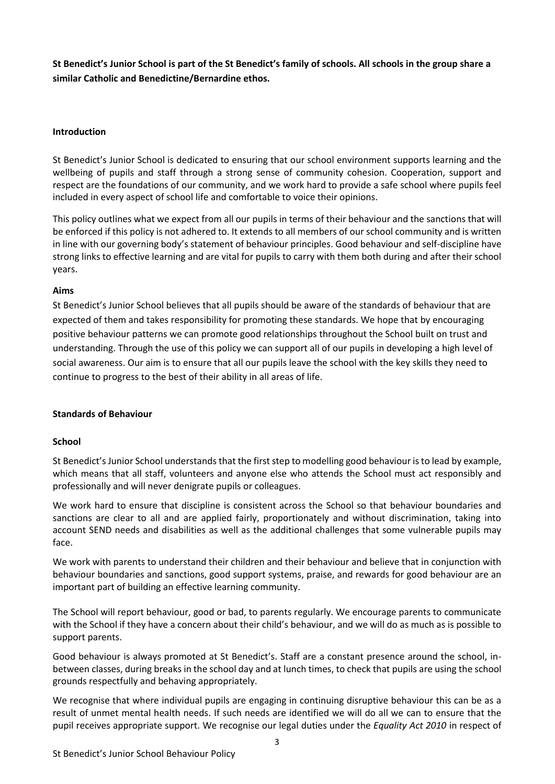**St Benedict's Junior School is part of the St Benedict's family of schools. All schools in the group share a similar Catholic and Benedictine/Bernardine ethos.**

## <span id="page-2-0"></span>**Introduction**

St Benedict's Junior School is dedicated to ensuring that our school environment supports learning and the wellbeing of pupils and staff through a strong sense of community cohesion. Cooperation, support and respect are the foundations of our community, and we work hard to provide a safe school where pupils feel included in every aspect of school life and comfortable to voice their opinions.

This policy outlines what we expect from all our pupils in terms of their behaviour and the sanctions that will be enforced if this policy is not adhered to. It extends to all members of our school community and is written in line with our governing body's statement of behaviour principles. Good behaviour and self-discipline have strong links to effective learning and are vital for pupils to carry with them both during and after their school years.

#### **Aims**

St Benedict's Junior School believes that all pupils should be aware of the standards of behaviour that are expected of them and takes responsibility for promoting these standards. We hope that by encouraging positive behaviour patterns we can promote good relationships throughout the School built on trust and understanding. Through the use of this policy we can support all of our pupils in developing a high level of social awareness. Our aim is to ensure that all our pupils leave the school with the key skills they need to continue to progress to the best of their ability in all areas of life.

#### <span id="page-2-1"></span>**Standards of Behaviour**

#### **School**

St Benedict's Junior School understands that the first step to modelling good behaviour is to lead by example, which means that all staff, volunteers and anyone else who attends the School must act responsibly and professionally and will never denigrate pupils or colleagues.

We work hard to ensure that discipline is consistent across the School so that behaviour boundaries and sanctions are clear to all and are applied fairly, proportionately and without discrimination, taking into account SEND needs and disabilities as well as the additional challenges that some vulnerable pupils may face.

We work with parents to understand their children and their behaviour and believe that in conjunction with behaviour boundaries and sanctions, good support systems, praise, and rewards for good behaviour are an important part of building an effective learning community.

The School will report behaviour, good or bad, to parents regularly. We encourage parents to communicate with the School if they have a concern about their child's behaviour, and we will do as much as is possible to support parents.

Good behaviour is always promoted at St Benedict's. Staff are a constant presence around the school, inbetween classes, during breaks in the school day and at lunch times, to check that pupils are using the school grounds respectfully and behaving appropriately.

We recognise that where individual pupils are engaging in continuing disruptive behaviour this can be as a result of unmet mental health needs. If such needs are identified we will do all we can to ensure that the pupil receives appropriate support. We recognise our legal duties under the *Equality Act 2010* in respect of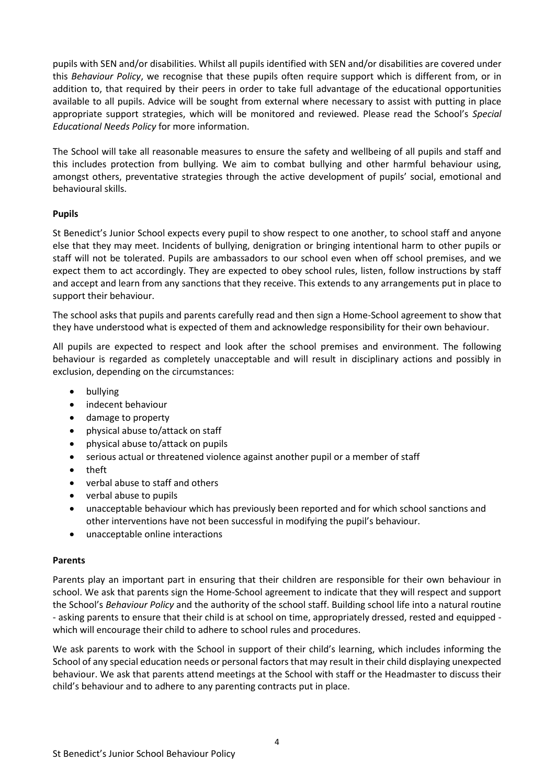pupils with SEN and/or disabilities. Whilst all pupils identified with SEN and/or disabilities are covered under this *Behaviour Policy*, we recognise that these pupils often require support which is different from, or in addition to, that required by their peers in order to take full advantage of the educational opportunities available to all pupils. Advice will be sought from external where necessary to assist with putting in place appropriate support strategies, which will be monitored and reviewed. Please read the School's *Special Educational Needs Policy* for more information.

The School will take all reasonable measures to ensure the safety and wellbeing of all pupils and staff and this includes protection from bullying. We aim to combat bullying and other harmful behaviour using, amongst others, preventative strategies through the active development of pupils' social, emotional and behavioural skills.

## **Pupils**

St Benedict's Junior School expects every pupil to show respect to one another, to school staff and anyone else that they may meet. Incidents of bullying, denigration or bringing intentional harm to other pupils or staff will not be tolerated. Pupils are ambassadors to our school even when off school premises, and we expect them to act accordingly. They are expected to obey school rules, listen, follow instructions by staff and accept and learn from any sanctions that they receive. This extends to any arrangements put in place to support their behaviour.

The school asks that pupils and parents carefully read and then sign a Home-School agreement to show that they have understood what is expected of them and acknowledge responsibility for their own behaviour.

All pupils are expected to respect and look after the school premises and environment. The following behaviour is regarded as completely unacceptable and will result in disciplinary actions and possibly in exclusion, depending on the circumstances:

- bullying
- indecent behaviour
- damage to property
- physical abuse to/attack on staff
- physical abuse to/attack on pupils
- serious actual or threatened violence against another pupil or a member of staff
- theft
- verbal abuse to staff and others
- verbal abuse to pupils
- unacceptable behaviour which has previously been reported and for which school sanctions and other interventions have not been successful in modifying the pupil's behaviour.
- unacceptable online interactions

#### **Parents**

Parents play an important part in ensuring that their children are responsible for their own behaviour in school. We ask that parents sign the Home-School agreement to indicate that they will respect and support the School's *Behaviour Policy* and the authority of the school staff. Building school life into a natural routine - asking parents to ensure that their child is at school on time, appropriately dressed, rested and equipped which will encourage their child to adhere to school rules and procedures.

We ask parents to work with the School in support of their child's learning, which includes informing the School of any special education needs or personal factors that may result in their child displaying unexpected behaviour. We ask that parents attend meetings at the School with staff or the Headmaster to discuss their child's behaviour and to adhere to any parenting contracts put in place.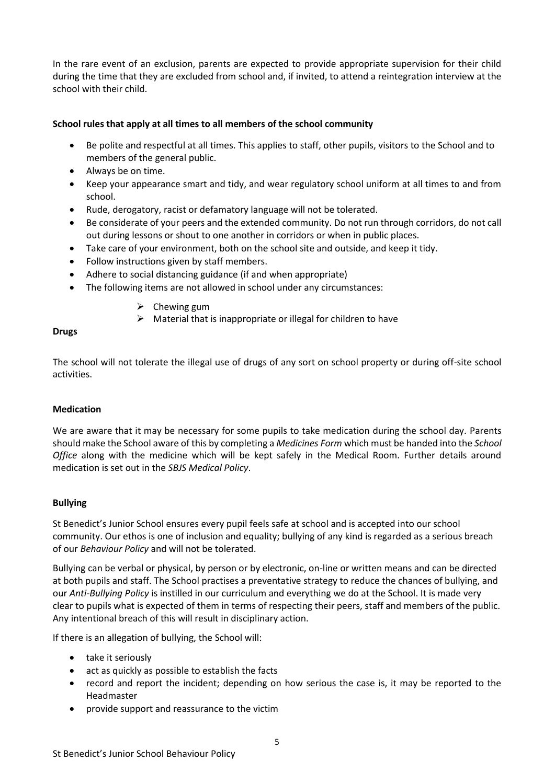In the rare event of an exclusion, parents are expected to provide appropriate supervision for their child during the time that they are excluded from school and, if invited, to attend a reintegration interview at the school with their child.

## <span id="page-4-0"></span>**School rules that apply at all times to all members of the school community**

- Be polite and respectful at all times. This applies to staff, other pupils, visitors to the School and to members of the general public.
- Always be on time.
- Keep your appearance smart and tidy, and wear regulatory school uniform at all times to and from school.
- Rude, derogatory, racist or defamatory language will not be tolerated.
- Be considerate of your peers and the extended community. Do not run through corridors, do not call out during lessons or shout to one another in corridors or when in public places.
- Take care of your environment, both on the school site and outside, and keep it tidy.
- Follow instructions given by staff members.
- Adhere to social distancing guidance (if and when appropriate)
- The following items are not allowed in school under any circumstances:
	- $\triangleright$  Chewing gum
	- $\triangleright$  Material that is inappropriate or illegal for children to have

#### **Drugs**

The school will not tolerate the illegal use of drugs of any sort on school property or during off-site school activities.

#### <span id="page-4-1"></span>**Medication**

We are aware that it may be necessary for some pupils to take medication during the school day. Parents should make the School aware of this by completing a *Medicines Form* which must be handed into the *School Office* along with the medicine which will be kept safely in the Medical Room. Further details around medication is set out in the *SBJS Medical Policy*.

#### <span id="page-4-2"></span>**Bullying**

St Benedict's Junior School ensures every pupil feels safe at school and is accepted into our school community. Our ethos is one of inclusion and equality; bullying of any kind is regarded as a serious breach of our *Behaviour Policy* and will not be tolerated.

Bullying can be verbal or physical, by person or by electronic, on-line or written means and can be directed at both pupils and staff. The School practises a preventative strategy to reduce the chances of bullying, and our *Anti-Bullying Policy* is instilled in our curriculum and everything we do at the School. It is made very clear to pupils what is expected of them in terms of respecting their peers, staff and members of the public. Any intentional breach of this will result in disciplinary action.

If there is an allegation of bullying, the School will:

- take it seriously
- act as quickly as possible to establish the facts
- record and report the incident; depending on how serious the case is, it may be reported to the Headmaster
- provide support and reassurance to the victim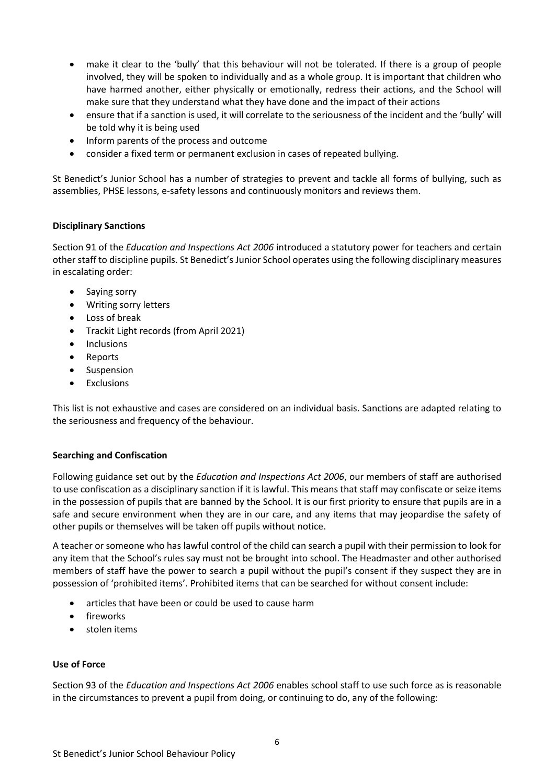- make it clear to the 'bully' that this behaviour will not be tolerated. If there is a group of people involved, they will be spoken to individually and as a whole group. It is important that children who have harmed another, either physically or emotionally, redress their actions, and the School will make sure that they understand what they have done and the impact of their actions
- ensure that if a sanction is used, it will correlate to the seriousness of the incident and the 'bully' will be told why it is being used
- Inform parents of the process and outcome
- consider a fixed term or permanent exclusion in cases of repeated bullying.

St Benedict's Junior School has a number of strategies to prevent and tackle all forms of bullying, such as assemblies, PHSE lessons, e-safety lessons and continuously monitors and reviews them.

## <span id="page-5-0"></span>**Disciplinary Sanctions**

Section 91 of the *Education and Inspections Act 2006* introduced a statutory power for teachers and certain other staff to discipline pupils. St Benedict's Junior School operates using the following disciplinary measures in escalating order:

- Saying sorry
- Writing sorry letters
- Loss of break
- Trackit Light records (from April 2021)
- Inclusions
- Reports
- Suspension
- Exclusions

This list is not exhaustive and cases are considered on an individual basis. Sanctions are adapted relating to the seriousness and frequency of the behaviour.

#### <span id="page-5-1"></span>**Searching and Confiscation**

Following guidance set out by the *Education and Inspections Act 2006*, our members of staff are authorised to use confiscation as a disciplinary sanction if it is lawful. This means that staff may confiscate or seize items in the possession of pupils that are banned by the School. It is our first priority to ensure that pupils are in a safe and secure environment when they are in our care, and any items that may jeopardise the safety of other pupils or themselves will be taken off pupils without notice.

A teacher or someone who has lawful control of the child can search a pupil with their permission to look for any item that the School's rules say must not be brought into school. The Headmaster and other authorised members of staff have the power to search a pupil without the pupil's consent if they suspect they are in possession of 'prohibited items'. Prohibited items that can be searched for without consent include:

- articles that have been or could be used to cause harm
- fireworks
- <span id="page-5-2"></span>stolen items

#### **Use of Force**

Section 93 of the *Education and Inspections Act 2006* enables school staff to use such force as is reasonable in the circumstances to prevent a pupil from doing, or continuing to do, any of the following: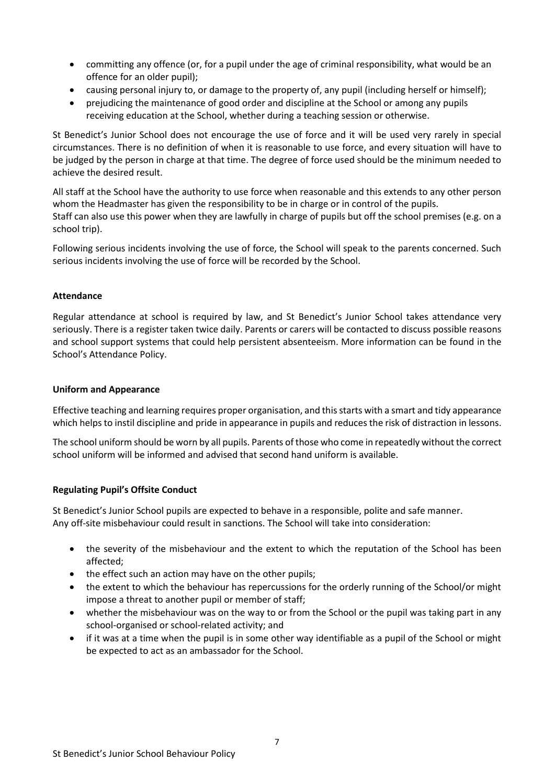- committing any offence (or, for a pupil under the age of criminal responsibility, what would be an offence for an older pupil);
- causing personal injury to, or damage to the property of, any pupil (including herself or himself);
- prejudicing the maintenance of good order and discipline at the School or among any pupils receiving education at the School, whether during a teaching session or otherwise.

St Benedict's Junior School does not encourage the use of force and it will be used very rarely in special circumstances. There is no definition of when it is reasonable to use force, and every situation will have to be judged by the person in charge at that time. The degree of force used should be the minimum needed to achieve the desired result.

All staff at the School have the authority to use force when reasonable and this extends to any other person whom the Headmaster has given the responsibility to be in charge or in control of the pupils. Staff can also use this power when they are lawfully in charge of pupils but off the school premises (e.g. on a school trip).

Following serious incidents involving the use of force, the School will speak to the parents concerned. Such serious incidents involving the use of force will be recorded by the School.

## <span id="page-6-0"></span>**Attendance**

Regular attendance at school is required by law, and St Benedict's Junior School takes attendance very seriously. There is a register taken twice daily. Parents or carers will be contacted to discuss possible reasons and school support systems that could help persistent absenteeism. More information can be found in the School's Attendance Policy.

## <span id="page-6-1"></span>**Uniform and Appearance**

Effective teaching and learning requires proper organisation, and this starts with a smart and tidy appearance which helps to instil discipline and pride in appearance in pupils and reduces the risk of distraction in lessons.

The school uniform should be worn by all pupils. Parents of those who come in repeatedly without the correct school uniform will be informed and advised that second hand uniform is available.

## <span id="page-6-2"></span>**Regulating Pupil's Offsite Conduct**

St Benedict's Junior School pupils are expected to behave in a responsible, polite and safe manner. Any off-site misbehaviour could result in sanctions. The School will take into consideration:

- the severity of the misbehaviour and the extent to which the reputation of the School has been affected;
- the effect such an action may have on the other pupils;
- the extent to which the behaviour has repercussions for the orderly running of the School/or might impose a threat to another pupil or member of staff;
- whether the misbehaviour was on the way to or from the School or the pupil was taking part in any school-organised or school-related activity; and
- if it was at a time when the pupil is in some other way identifiable as a pupil of the School or might be expected to act as an ambassador for the School.